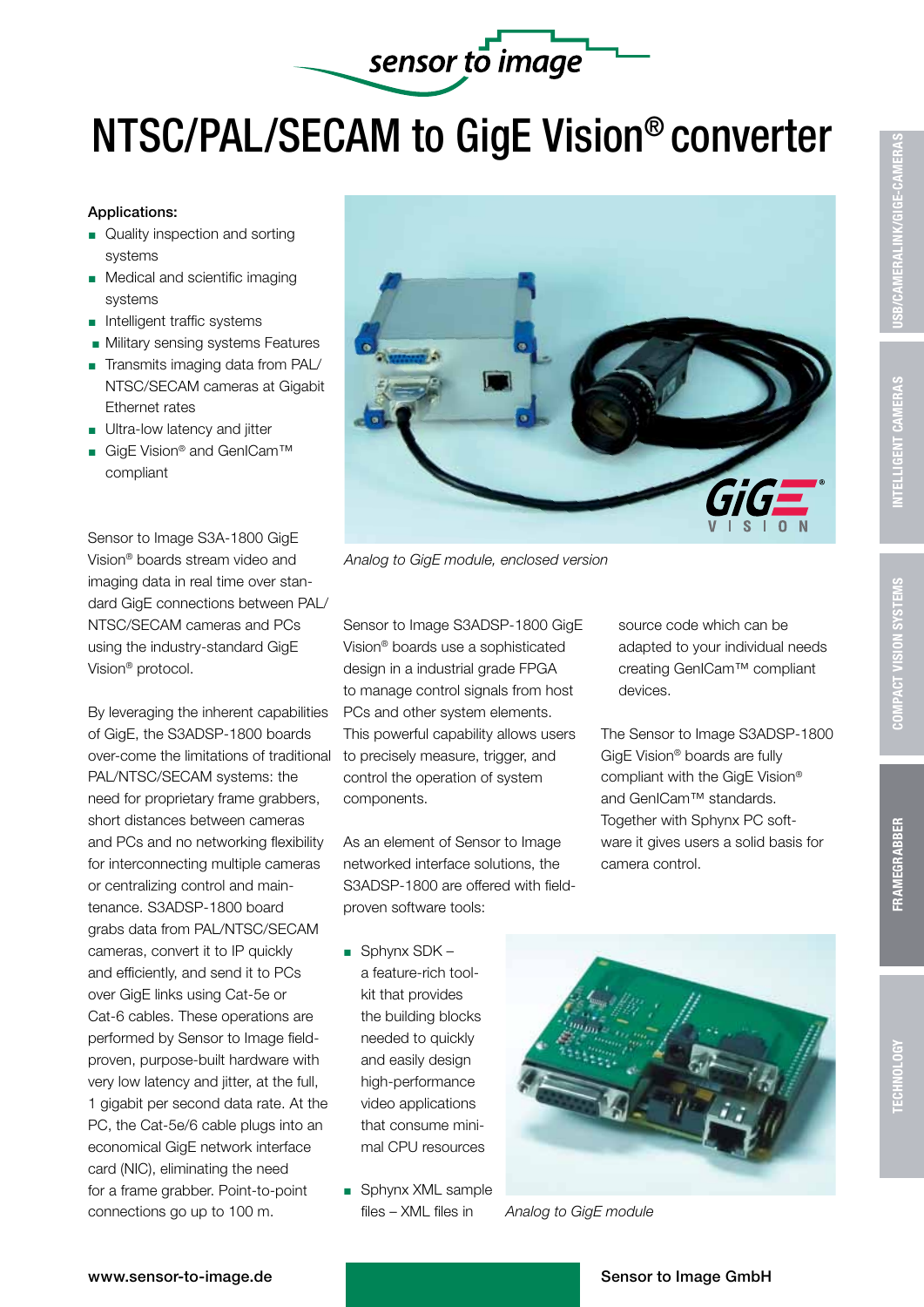## sensor to image NTSC/PAL/SECAM to GigE Vision® converter

## Applications:

- Quality inspection and sorting systems
- **Medical and scientific imaging** systems
- $\blacksquare$  Intelligent traffic systems
- **Nilitary sensing systems Features**
- Transmits imaging data from PAL/ NTSC/SECAM cameras at Gigabit Ethernet rates
- $\blacksquare$  Ultra-low latency and jitter
- GigE Vision<sup>®</sup> and GenICam<sup>™</sup> compliant

Sensor to Image S3A-1800 GigE Vision® boards stream video and imaging data in real time over standard GigE connections between PAL/ NTSC/SECAM cameras and PCs using the industry-standard GigE Vision® protocol.

By leveraging the inherent capabilities of GigE, the S3ADSP-1800 boards over-come the limitations of traditional PAL/NTSC/SECAM systems: the need for proprietary frame grabbers, short distances between cameras and PCs and no networking flexibility for interconnecting multiple cameras or centralizing control and maintenance. S3ADSP-1800 board grabs data from PAL/NTSC/SECAM cameras, convert it to IP quickly and efficiently, and send it to PCs over GigE links using Cat-5e or Cat-6 cables. These operations are performed by Sensor to Image fieldproven, purpose-built hardware with very low latency and jitter, at the full, 1 gigabit per second data rate. At the PC, the Cat-5e/6 cable plugs into an economical GigE network interface card (NIC), eliminating the need for a frame grabber. Point-to-point connections go up to 100 m.



*Analog to GigE module, enclosed version*

Sensor to Image S3ADSP-1800 GigE Vision® boards use a sophisticated design in a industrial grade FPGA to manage control signals from host PCs and other system elements. This powerful capability allows users to precisely measure, trigger, and control the operation of system components.

As an element of Sensor to Image networked interface solutions, the S3ADSP-1800 are offered with fieldproven software tools:

source code which can be adapted to your individual needs creating GenICam™ compliant devices.

The Sensor to Image S3ADSP-1800 GigE Vision® boards are fully compliant with the GigE Vision® and GenICam™ standards. Together with Sphynx PC software it gives users a solid basis for camera control.

- $\Box$  Sphynx SDK a feature-rich toolkit that provides the building blocks needed to quickly and easily design high-performance video applications that consume minimal CPU resources
- Sphynx XML sample files – XML files in



*Analog to GigE module*